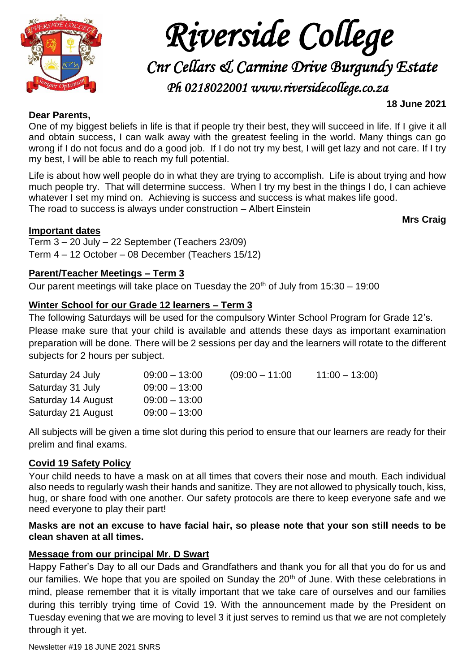

# *Riverside College*

*Cnr Cellars & Carmine Drive Burgundy Estate* 

*Ph 0218022001 www.riversidecollege.co.za* 

#### **18 June 2021**

#### **Dear Parents,**

One of my biggest beliefs in life is that if people try their best, they will succeed in life. If I give it all and obtain success, I can walk away with the greatest feeling in the world. Many things can go wrong if I do not focus and do a good job. If I do not try my best, I will get lazy and not care. If I try my best, I will be able to reach my full potential.

Life is about how well people do in what they are trying to accomplish. Life is about trying and how much people try. That will determine success. When I try my best in the things I do, I can achieve whatever I set my mind on. Achieving is success and success is what makes life good. The road to success is always under construction – Albert Einstein

## **Important dates**

**Mrs Craig**

Term 3 – 20 July – 22 September (Teachers 23/09) Term 4 – 12 October – 08 December (Teachers 15/12)

## **Parent/Teacher Meetings – Term 3**

Our parent meetings will take place on Tuesday the  $20<sup>th</sup>$  of July from  $15:30 - 19:00$ 

## **Winter School for our Grade 12 learners – Term 3**

The following Saturdays will be used for the compulsory Winter School Program for Grade 12's. Please make sure that your child is available and attends these days as important examination preparation will be done. There will be 2 sessions per day and the learners will rotate to the different subjects for 2 hours per subject.

| Saturday 24 July   | $09:00 - 13:00$ | $(09:00 - 11:00)$ | $11:00 - 13:00$ |
|--------------------|-----------------|-------------------|-----------------|
| Saturday 31 July   | $09:00 - 13:00$ |                   |                 |
| Saturday 14 August | $09:00 - 13:00$ |                   |                 |
| Saturday 21 August | $09:00 - 13:00$ |                   |                 |

All subjects will be given a time slot during this period to ensure that our learners are ready for their prelim and final exams.

## **Covid 19 Safety Policy**

Your child needs to have a mask on at all times that covers their nose and mouth. Each individual also needs to regularly wash their hands and sanitize. They are not allowed to physically touch, kiss, hug, or share food with one another. Our safety protocols are there to keep everyone safe and we need everyone to play their part!

## **Masks are not an excuse to have facial hair, so please note that your son still needs to be clean shaven at all times.**

## **Message from our principal Mr. D Swart**

Happy Father's Day to all our Dads and Grandfathers and thank you for all that you do for us and our families. We hope that you are spoiled on Sunday the 20<sup>th</sup> of June. With these celebrations in mind, please remember that it is vitally important that we take care of ourselves and our families during this terribly trying time of Covid 19. With the announcement made by the President on Tuesday evening that we are moving to level 3 it just serves to remind us that we are not completely through it yet.